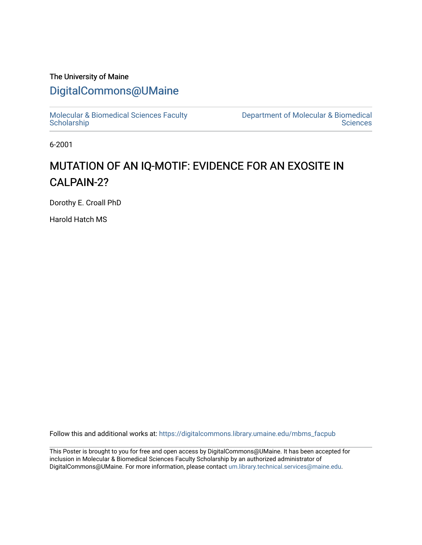### The University of Maine

## [DigitalCommons@UMaine](https://digitalcommons.library.umaine.edu/)

[Molecular & Biomedical Sciences Faculty](https://digitalcommons.library.umaine.edu/mbms_facpub) **Scholarship** 

[Department of Molecular & Biomedical](https://digitalcommons.library.umaine.edu/mbms)  **Sciences** 

6-2001

## MUTATION OF AN IQ-MOTIF: EVIDENCE FOR AN EXOSITE IN CALPAIN-2?

Dorothy E. Croall PhD

Harold Hatch MS

Follow this and additional works at: [https://digitalcommons.library.umaine.edu/mbms\\_facpub](https://digitalcommons.library.umaine.edu/mbms_facpub?utm_source=digitalcommons.library.umaine.edu%2Fmbms_facpub%2F3&utm_medium=PDF&utm_campaign=PDFCoverPages)

This Poster is brought to you for free and open access by DigitalCommons@UMaine. It has been accepted for inclusion in Molecular & Biomedical Sciences Faculty Scholarship by an authorized administrator of DigitalCommons@UMaine. For more information, please contact [um.library.technical.services@maine.edu](mailto:um.library.technical.services@maine.edu).